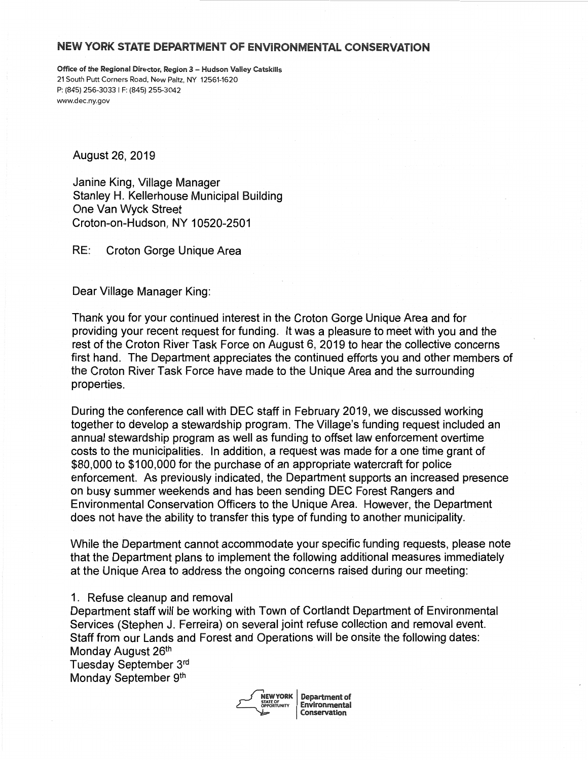## NEW YORK STATE DEPARTMENT OF ENVIRONMENTAL CONSERVATION

Office of the Regional Director, Region 3 - Hudson Valley Catskills 21 South Putt Corners Road, New Paltz, NY 12561-1620 P: (845) 256-3033 I F: (845) 255-3042 www.dec.ny.gov

August 26, 2019

Janine King, Village Manager Stanley H. Kellerhouse Municipal Building One Van Wyck Street Croton-on-Hudson, NY 10520-2501

RE: Croton Gorge Unique Area

Dear Village Manager King:

Thank you for your continued interest in the Croton Gorge Unique Area and for providing your recent request for funding. It was a pleasure to meet with you and the rest of the Croton River Task Force on August 6, 2019 to hear the collective concerns first hand. The Department appreciates the continued efforts you and other members of the Croton River Task Force have made to the Unique Area and the surrounding properties.

During the conference call with DEC staff in February 2019, we discussed working together to develop a stewardship program. The Village's funding request included an annual stewardship program as well as funding to offset law enforcement overtime costs to the municipalities. In addition, a request was made for a one time grant of \$80,000 to \$100,000 for the purchase of an appropriate watercraft for police enforcement. As previously indicated, the Department supports an increased presence on busy summer weekends and has been sending DEC Forest Rangers and Environmental Conservation Officers to the Unique Area. However, the Department does not have the ability to transfer this type of funding to another municipality.

While the Department cannot accommodate your specific funding requests, please note that the Department plans to implement the following additional measures immediately at the Unique Area to address the ongoing concerns raised during our meeting:

## 1. Refuse cleanup and removal

Department staff will be working with Town of Cortlandt Department of Environmental Services (Stephen J. Ferreira) on several joint refuse collection and removal event. Staff from our Lands and Forest and Operations will be onsite the following dates: Monday August 26<sup>th</sup>

Tuesday September 3rd Monday September 9th



NEW YORK | Department of **Environmental** Conservation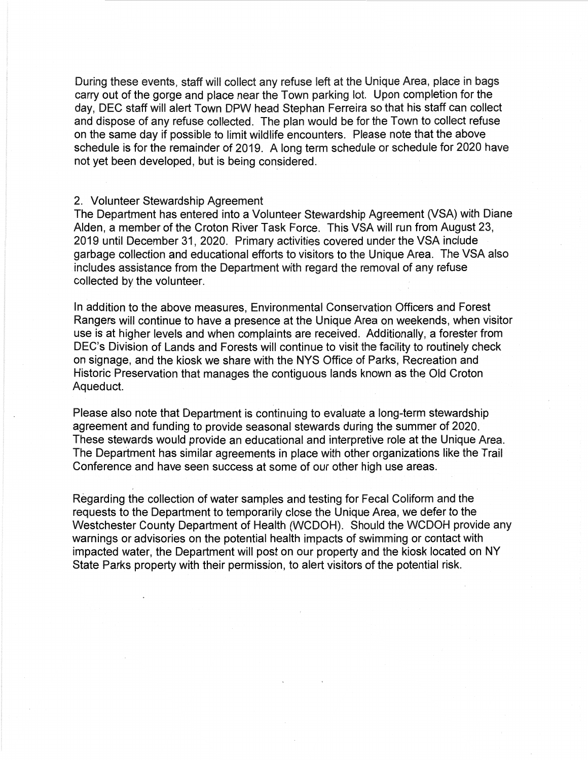During these events, staff will collect any refuse left at the Unique Area, place in bags carry out of the gorge and place near the Town parking lot. Upon completion for the day, DEC staff will alert Town DPW head Stephan Ferreira so that his staff can collect and dispose of any refuse collected. The plan would be for the Town to collect refuse on the same day if possible to limit wildlife encounters. Please note that the above schedule is for the remainder of 2019. A long term schedule or schedule for 2020 have not yet been developed, but is being considered.

## 2. Volunteer Stewardship Agreement

The Department has entered into a Volunteer Stewardship Agreement (VSA) with Diane Alden, a member of the Croton River Task Force. This VSA will run from August 23, 2019 until December 31, 2020. Primary activities covered under the VSA include garbage collection and educational efforts to visitors to the Unique Area. The VSA also includes assistance from the Department with regard the removal of any refuse collected by the volunteer.

In addition to the above measures, Environmental Conservation Officers and Forest Rangers will continue to have a presence at the Unique Area on weekends, when visitor use is at higher levels and when complaints are received. Additionally, a forester from DEC's Division of Lands and Forests will continue to visit the facility to routinely check on signage, and the kiosk we share with the NYS Office of Parks, Recreation and Historic Preservation that manages the contiguous lands known as the Old Croton Aqueduct.

Please also note that Department is continuing to evaluate a long-term stewardship agreement and funding to provide seasonal stewards during the summer of 2020. These stewards would provide an educational and interpretive role at the Unique Area. The Department has similar agreements in place with other organizations like the Trail Conference and have seen success at some of our other high use areas.

Regarding the collection of water samples and testing for Fecal Coliform and the requests to the Department to temporarily close the Unique Area, we defer to the Westchester County Department of Health (WCDOH). Should the WCDOH provide any warnings or advisories on the potential health impacts of swimming or contact with impacted water, the Department will post on our property and the kiosk located on NY State Parks property with their permission, to alert visitors of the potential risk.